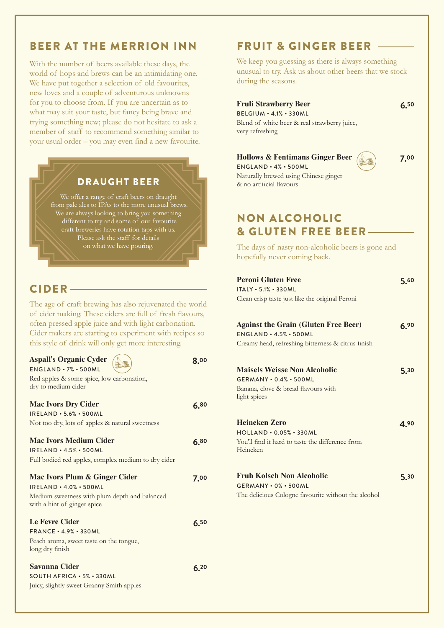# BEER AT THE MERRION INN

With the number of beers available these days, the world of hops and brews can be an intimidating one. We have put together a selection of old favourites, new loves and a couple of adventurous unknowns for you to choose from. If you are uncertain as to what may suit your taste, but fancy being brave and trying something new; please do not hesitate to ask a member of staff to recommend something similar to your usual order – you may even find a new favourite.

### DRAUGHT BEER

We offer a range of craft beers on draught from pale ales to IPAs to the more unusual brews. We are always looking to bring you something craft breweries have rotation taps with us. on what we have pouring.

### CIDER

The age of craft brewing has also rejuvenated the world of cider making. These ciders are full of fresh flavours, often pressed apple juice and with light carbonation. Cider makers are starting to experiment with recipes so this style of drink will only get more interesting.

**8.00**

**6.80**

**6.80**

**6.20**

#### **Aspall's Organic Cyder** ENGLAND • 7% • 500ML Red apples & some spice, low carbonation,

| dry to medium cider                                 |
|-----------------------------------------------------|
| <b>Mac Ivors Dry Cider</b>                          |
| IRELAND · 5.6% · 500ML                              |
| Not too dry, lots of apples & natural sweetness     |
| <b>Mac Ivors Medium Cider</b>                       |
| IRELAND · 4.5% · 500ML                              |
| Full bodied red apples, complex medium to dry cider |

#### **Mac Ivors Plum & Ginger Cider**  IRELAND • 4.0% • 500ML Medium sweetness with plum depth and balanced with a hint of ginger spice **7.00 Le Fevre Cider** FRANCE • 4.9% • 330ML Peach aroma, sweet taste on the tongue, long dry finish **6.50**

**Savanna Cider** SOUTH AFRICA • 5% • 330ML Juicy, slightly sweet Granny Smith apples

## FRUIT & GINGER BEER

We keep you guessing as there is always something unusual to try. Ask us about other beers that we stock during the seasons.

#### **Fruli Strawberry Beer**

BELGIUM • 4.1% • 330ML Blend of white beer & real strawberry juice, very refreshing

#### **Hollows & Fentimans Ginger Beer**

**7.00**

**6.50**

ENGLAND • 4% • 500ML Naturally brewed using Chinese ginger & no artificial flavours

# NON ALCOHOLIC & GLUTEN FREE BEER

The days of nasty non-alcoholic beers is gone and hopefully never coming back.

| <b>Peroni Gluten Free</b><br>ITALY · 5.1% · 330ML<br>Clean crisp taste just like the original Peroni                                   | 5.60 |
|----------------------------------------------------------------------------------------------------------------------------------------|------|
| <b>Against the Grain (Gluten Free Beer)</b><br>$ENGLAND \cdot 4.5\% \cdot 500ML$<br>Creamy head, refreshing bitterness & citrus finish | 6.90 |
| <b>Maisels Weisse Non Alcoholic</b><br>GERMANY · 0.4% · 500ML<br>Banana, clove & bread flavours with<br>light spices                   | 5.30 |
| <b>Heineken Zero</b><br>HOLLAND · 0.05% · 330ML<br>You'll find it hard to taste the difference from<br>Heineken                        | 4.90 |
| Fruh Kolsch Non Alcoholic<br>GERMANY · 0% · 500ML<br>The delicious Cologne favourite without the alcohol                               | 5.30 |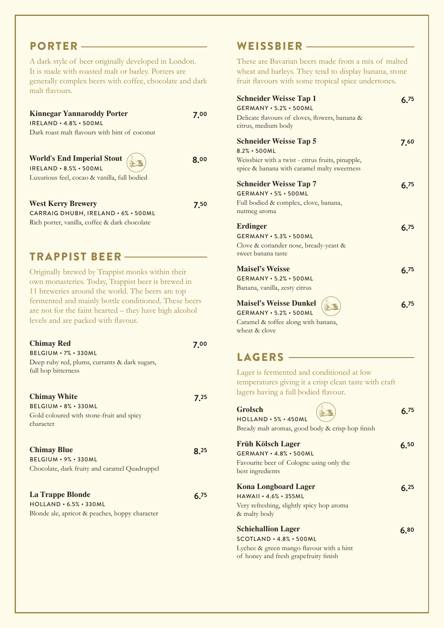# PORTER

A dark style of beer originally developed in London. It is made with roasted malt or barley. Porters are generally complex beers with coffee, chocolate and dark malt flavours.

| <b>Kinnegar Yannaroddy Porter</b>                                             | 7 00 |
|-------------------------------------------------------------------------------|------|
| $IRELAND \cdot 4.8\% \cdot 500ML$                                             |      |
| Dark roast malt flavours with hint of coconut                                 |      |
|                                                                               |      |
| <b>World's End Imperial Stout</b> $\sqrt{2}$<br><b>IRELAND · 8.5% · 500ML</b> | 8.00 |
| Luxurious feel, cocao & vanilla, full bodied                                  |      |
|                                                                               |      |
| <b>West Kerry Brewery</b>                                                     |      |
|                                                                               |      |

CARRAIG DHUBH, IRELAND • 6% • 500ML Rich porter, vanilla, coffee & dark chocolate

# TRAPPIST BEER

Originally brewed by Trappist monks within their own monasteries. Today, Trappist beer is brewed in 11 breweries around the world. The beers are top fermented and mainly bottle conditioned. These beers are not for the faint hearted – they have high alcohol levels and are packed with flavour.

| <b>Chimay Red</b>                              | 7.00 |
|------------------------------------------------|------|
| $BELGIUM \cdot 7\% \cdot 330ML$                |      |
| Deep ruby red, plums, currants & dark sugars,  |      |
| full hop bitterness                            |      |
|                                                |      |
|                                                |      |
| <b>Chimay White</b>                            | 7.25 |
| $BELGIUM \cdot 8\% \cdot 330ML$                |      |
| Gold coloured with stone-fruit and spicy       |      |
| character                                      |      |
|                                                |      |
| <b>Chimay Blue</b>                             | 8 Z5 |
| BELGIUM · 9% · 330ML                           |      |
|                                                |      |
| Chocolate, dark fruity and caramel Quadruppel  |      |
|                                                |      |
| La Trappe Blonde                               | 6 75 |
| $HOLLAND \cdot 6.5% \cdot 330ML$               |      |
| Blonde ale, apricot & peaches, hoppy character |      |
|                                                |      |
|                                                |      |

## WEISSBIER

These are Bavarian beers made from a mix of malted wheat and barleys. They tend to display banana, stone fruit flavours with some tropical spice undertones.

| <b>Schneider Weisse Tap 1</b><br><b>GERMANY · 5.2% · 500ML</b><br>Delicate flavours of cloves, flowers, banana &<br>citrus, medium body                 | 6 75 |
|---------------------------------------------------------------------------------------------------------------------------------------------------------|------|
| <b>Schneider Weisse Tap 5</b><br>$8.2% \cdot 500ML$<br>Weissbier with a twist - citrus fruits, pinapple,<br>spice & banana with caramel malty sweetness | 7.60 |
| <b>Schneider Weisse Tap 7</b><br>GERMANY · 5% · 500ML<br>Full bodied & complex, clove, banana,<br>nutmeg aroma                                          | 6.75 |
| Erdinger<br>GERMANY • 5.3% • 500ML<br>Clove & coriander nose, bready-yeast &<br>sweet banana taste                                                      | 6.75 |
| <b>Maisel's Weisse</b><br>GERMANY • 5.2% • 500ML<br>Banana, vanilla, zesty citrus                                                                       | 6.75 |
| <b>Maisel's Weisse Dunkel</b><br><b>GERMANY · 5.2% · 500ML</b><br>Caramel & toffee along with banana,<br>wheat & clove                                  | 6.75 |

## LAGERS -

Lager is fermented and conditioned at low temperatures giving it a crisp clean taste with craft lagers having a full bodied flavour.

| <b>Grolsch</b><br>$HOLLAND \cdot 5% \cdot 450ML$                                                          | 6.75 |
|-----------------------------------------------------------------------------------------------------------|------|
| Bready malt aromas, good body & crisp hop finish                                                          |      |
| <b>Früh Kölsch Lager</b><br>$GERMANY \cdot 4.8\% \cdot 500ML$<br>Favourite beer of Cologne using only the | 6.50 |
| best ingredients                                                                                          |      |
| <b>Kona Longboard Lager</b>                                                                               | 6.25 |
| $HAWAll \cdot 4.6\% \cdot 355ML$                                                                          |      |
| Very refreshing, slightly spicy hop aroma                                                                 |      |
| & malty body                                                                                              |      |
| <b>Schiehallion Lager</b>                                                                                 | 6.80 |
| $SCOTLAND \cdot 4.8\% \cdot 500ML$                                                                        |      |
| Lychee & green mango flavour with a hint<br>of honey and fresh grapefruity finish                         |      |